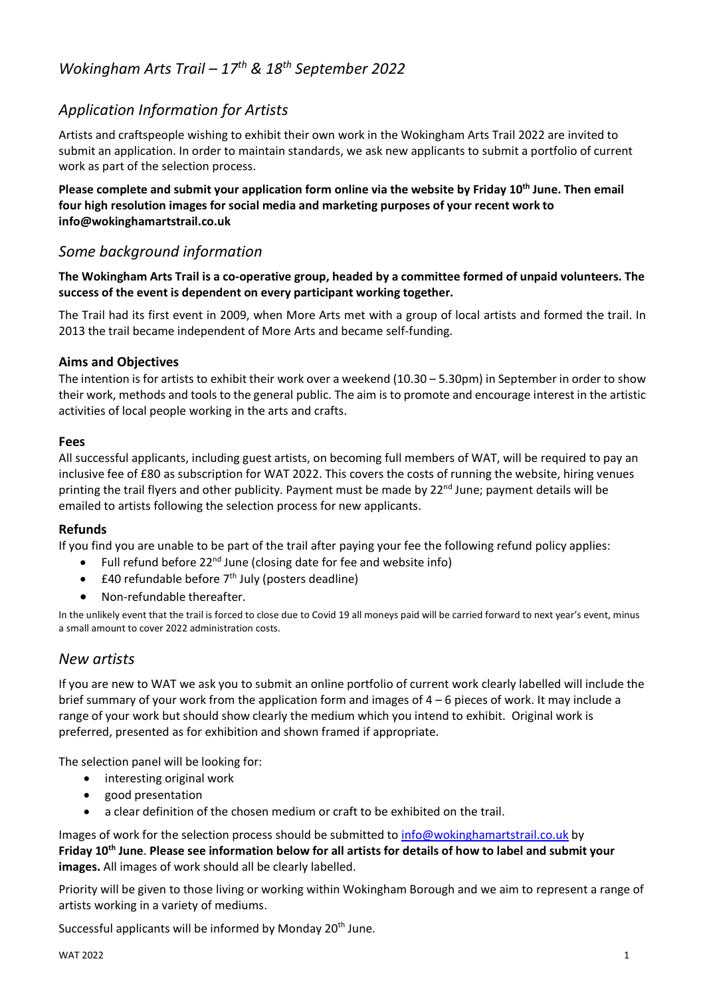# *Wokingham Arts Trail – 17th & 18th September 2022*

# *Application Information for Artists*

Artists and craftspeople wishing to exhibit their own work in the Wokingham Arts Trail 2022 are invited to submit an application. In order to maintain standards, we ask new applicants to submit a portfolio of current work as part of the selection process.

**Please complete and submit your application form online via the website by Friday 10th June. Then email four high resolution images for social media and marketing purposes of your recent work to info@wokinghamartstrail.co.uk**

# *Some background information*

**The Wokingham Arts Trail is a co-operative group, headed by a committee formed of unpaid volunteers. The success of the event is dependent on every participant working together.**

The Trail had its first event in 2009, when More Arts met with a group of local artists and formed the trail. In 2013 the trail became independent of More Arts and became self-funding.

### **Aims and Objectives**

The intention is for artists to exhibit their work over a weekend (10.30 – 5.30pm) in September in order to show their work, methods and tools to the general public. The aim is to promote and encourage interest in the artistic activities of local people working in the arts and crafts.

#### **Fees**

All successful applicants, including guest artists, on becoming full members of WAT, will be required to pay an inclusive fee of £80 as subscription for WAT 2022. This covers the costs of running the website, hiring venues printing the trail flyers and other publicity. Payment must be made by 22<sup>nd</sup> June; payment details will be emailed to artists following the selection process for new applicants.

### **Refunds**

If you find you are unable to be part of the trail after paying your fee the following refund policy applies:

- Full refund before  $22^{nd}$  June (closing date for fee and website info)
- $\pm$ 40 refundable before  $7<sup>th</sup>$  July (posters deadline)
- Non-refundable thereafter.

In the unlikely event that the trail is forced to close due to Covid 19 all moneys paid will be carried forward to next year's event, minus a small amount to cover 2022 administration costs.

## *New artists*

If you are new to WAT we ask you to submit an online portfolio of current work clearly labelled will include the brief summary of your work from the application form and images of 4 – 6 pieces of work. It may include a range of your work but should show clearly the medium which you intend to exhibit. Original work is preferred, presented as for exhibition and shown framed if appropriate.

The selection panel will be looking for:

- interesting original work
- good presentation
- a clear definition of the chosen medium or craft to be exhibited on the trail.

Images of work for the selection process should be submitted to [info@wokinghamartstrail.co.uk](mailto:info@wokinghamartstrail.co.uk) by **Friday 10th June**. **Please see information below for all artists for details of how to label and submit your images.** All images of work should all be clearly labelled.

Priority will be given to those living or working within Wokingham Borough and we aim to represent a range of artists working in a variety of mediums.

Successful applicants will be informed by Monday 20<sup>th</sup> June.